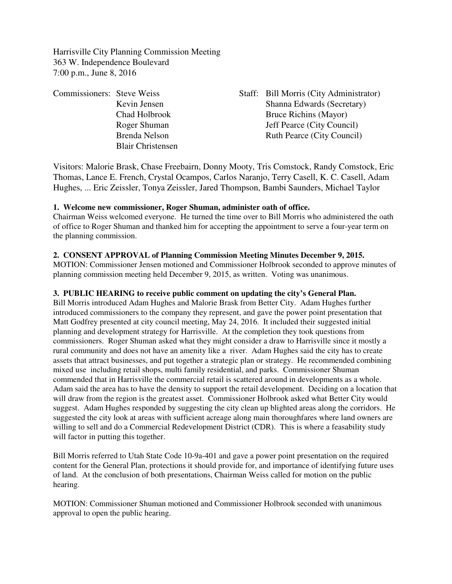Harrisville City Planning Commission Meeting 363 W. Independence Boulevard 7:00 p.m., June 8, 2016

| <b>Commissioners: Steve Weiss</b> |                          | Staff: Bill Morris (City Administrator) |
|-----------------------------------|--------------------------|-----------------------------------------|
|                                   | Kevin Jensen             | Shanna Edwards (Secretary)              |
|                                   | Chad Holbrook            | Bruce Richins (Mayor)                   |
|                                   | Roger Shuman             | <b>Jeff Pearce (City Council)</b>       |
|                                   | Brenda Nelson            | <b>Ruth Pearce (City Council)</b>       |
|                                   | <b>Blair Christensen</b> |                                         |

Visitors: Malorie Brask, Chase Freebairn, Donny Mooty, Tris Comstock, Randy Comstock, Eric Thomas, Lance E. French, Crystal Ocampos, Carlos Naranjo, Terry Casell, K. C. Casell, Adam Hughes, ... Eric Zeissler, Tonya Zeissler, Jared Thompson, Bambi Saunders, Michael Taylor

### **1. Welcome new commissioner, Roger Shuman, administer oath of office.**

Chairman Weiss welcomed everyone. He turned the time over to Bill Morris who administered the oath of office to Roger Shuman and thanked him for accepting the appointment to serve a four-year term on the planning commission.

# **2. CONSENT APPROVAL of Planning Commission Meeting Minutes December 9, 2015.**

MOTION: Commissioner Jensen motioned and Commissioner Holbrook seconded to approve minutes of planning commission meeting held December 9, 2015, as written. Voting was unanimous.

# **3. PUBLIC HEARING to receive public comment on updating the city's General Plan.**

Bill Morris introduced Adam Hughes and Malorie Brask from Better City. Adam Hughes further introduced commissioners to the company they represent, and gave the power point presentation that Matt Godfrey presented at city council meeting, May 24, 2016. It included their suggested initial planning and development strategy for Harrisville. At the completion they took questions from commissioners. Roger Shuman asked what they might consider a draw to Harrisville since it mostly a rural community and does not have an amenity like a river. Adam Hughes said the city has to create assets that attract businesses, and put together a strategic plan or strategy. He recommended combining mixed use including retail shops, multi family residential, and parks. Commissioner Shuman commended that in Harrisville the commercial retail is scattered around in developments as a whole. Adam said the area has to have the density to support the retail development. Deciding on a location that will draw from the region is the greatest asset. Commissioner Holbrook asked what Better City would suggest. Adam Hughes responded by suggesting the city clean up blighted areas along the corridors. He suggested the city look at areas with sufficient acreage along main thoroughfares where land owners are willing to sell and do a Commercial Redevelopment District (CDR). This is where a feasability study will factor in putting this together.

Bill Morris referred to Utah State Code 10-9a-401 and gave a power point presentation on the required content for the General Plan, protections it should provide for, and importance of identifying future uses of land. At the conclusion of both presentations, Chairman Weiss called for motion on the public hearing.

MOTION: Commissioner Shuman motioned and Commissioner Holbrook seconded with unanimous approval to open the public hearing.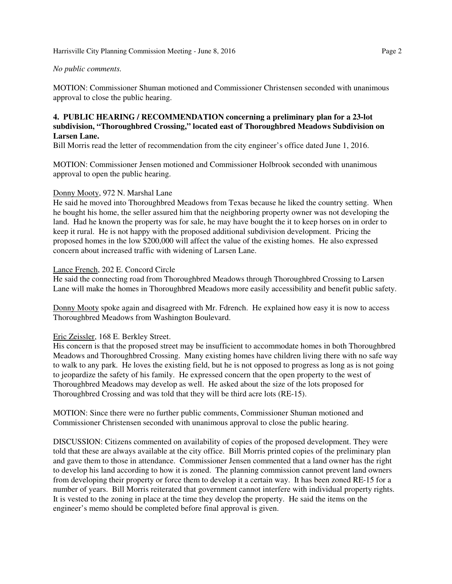#### Harrisville City Planning Commission Meeting - June 8, 2016 **Page 2** Page 2

#### *No public comments.*

MOTION: Commissioner Shuman motioned and Commissioner Christensen seconded with unanimous approval to close the public hearing.

### **4. PUBLIC HEARING / RECOMMENDATION concerning a preliminary plan for a 23-lot subdivision, "Thoroughbred Crossing," located east of Thoroughbred Meadows Subdivision on Larsen Lane.**

Bill Morris read the letter of recommendation from the city engineer's office dated June 1, 2016.

MOTION: Commissioner Jensen motioned and Commissioner Holbrook seconded with unanimous approval to open the public hearing.

### Donny Mooty, 972 N. Marshal Lane

He said he moved into Thoroughbred Meadows from Texas because he liked the country setting. When he bought his home, the seller assured him that the neighboring property owner was not developing the land. Had he known the property was for sale, he may have bought the it to keep horses on in order to keep it rural. He is not happy with the proposed additional subdivision development. Pricing the proposed homes in the low \$200,000 will affect the value of the existing homes. He also expressed concern about increased traffic with widening of Larsen Lane.

### Lance French, 202 E. Concord Circle

He said the connecting road from Thoroughbred Meadows through Thoroughbred Crossing to Larsen Lane will make the homes in Thoroughbred Meadows more easily accessibility and benefit public safety.

Donny Mooty spoke again and disagreed with Mr. Fdrench. He explained how easy it is now to access Thoroughbred Meadows from Washington Boulevard.

### Eric Zeissler, 168 E. Berkley Street.

His concern is that the proposed street may be insufficient to accommodate homes in both Thoroughbred Meadows and Thoroughbred Crossing. Many existing homes have children living there with no safe way to walk to any park. He loves the existing field, but he is not opposed to progress as long as is not going to jeopardize the safety of his family. He expressed concern that the open property to the west of Thoroughbred Meadows may develop as well. He asked about the size of the lots proposed for Thoroughbred Crossing and was told that they will be third acre lots (RE-15).

MOTION: Since there were no further public comments, Commissioner Shuman motioned and Commissioner Christensen seconded with unanimous approval to close the public hearing.

DISCUSSION: Citizens commented on availability of copies of the proposed development. They were told that these are always available at the city office. Bill Morris printed copies of the preliminary plan and gave them to those in attendance. Commissioner Jensen commented that a land owner has the right to develop his land according to how it is zoned. The planning commission cannot prevent land owners from developing their property or force them to develop it a certain way. It has been zoned RE-15 for a number of years. Bill Morris reiterated that government cannot interfere with individual property rights. It is vested to the zoning in place at the time they develop the property. He said the items on the engineer's memo should be completed before final approval is given.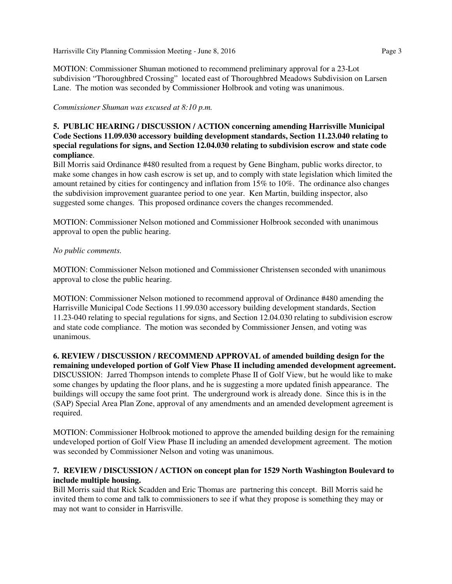Harrisville City Planning Commission Meeting - June 8, 2016 **Page 3** Page 3

MOTION: Commissioner Shuman motioned to recommend preliminary approval for a 23-Lot subdivision "Thoroughbred Crossing" located east of Thoroughbred Meadows Subdivision on Larsen Lane. The motion was seconded by Commissioner Holbrook and voting was unanimous.

*Commissioner Shuman was excused at 8:10 p.m.*

# **5. PUBLIC HEARING / DISCUSSION / ACTION concerning amending Harrisville Municipal Code Sections 11.09.030 accessory building development standards, Section 11.23.040 relating to special regulations for signs, and Section 12.04.030 relating to subdivision escrow and state code compliance**.

Bill Morris said Ordinance #480 resulted from a request by Gene Bingham, public works director, to make some changes in how cash escrow is set up, and to comply with state legislation which limited the amount retained by cities for contingency and inflation from 15% to 10%. The ordinance also changes the subdivision improvement guarantee period to one year. Ken Martin, building inspector, also suggested some changes. This proposed ordinance covers the changes recommended.

MOTION: Commissioner Nelson motioned and Commissioner Holbrook seconded with unanimous approval to open the public hearing.

# *No public comments.*

MOTION: Commissioner Nelson motioned and Commissioner Christensen seconded with unanimous approval to close the public hearing.

MOTION: Commissioner Nelson motioned to recommend approval of Ordinance #480 amending the Harrisville Municipal Code Sections 11.99.030 accessory building development standards, Section 11.23-040 relating to special regulations for signs, and Section 12.04.030 relating to subdivision escrow and state code compliance. The motion was seconded by Commissioner Jensen, and voting was unanimous.

**6. REVIEW / DISCUSSION / RECOMMEND APPROVAL of amended building design for the remaining undeveloped portion of Golf View Phase II including amended development agreement.** DISCUSSION: Jarred Thompson intends to complete Phase II of Golf View, but he would like to make some changes by updating the floor plans, and he is suggesting a more updated finish appearance. The buildings will occupy the same foot print. The underground work is already done. Since this is in the (SAP) Special Area Plan Zone, approval of any amendments and an amended development agreement is required.

MOTION: Commissioner Holbrook motioned to approve the amended building design for the remaining undeveloped portion of Golf View Phase II including an amended development agreement. The motion was seconded by Commissioner Nelson and voting was unanimous.

# **7. REVIEW / DISCUSSION / ACTION on concept plan for 1529 North Washington Boulevard to include multiple housing.**

Bill Morris said that Rick Scadden and Eric Thomas are partnering this concept. Bill Morris said he invited them to come and talk to commissioners to see if what they propose is something they may or may not want to consider in Harrisville.